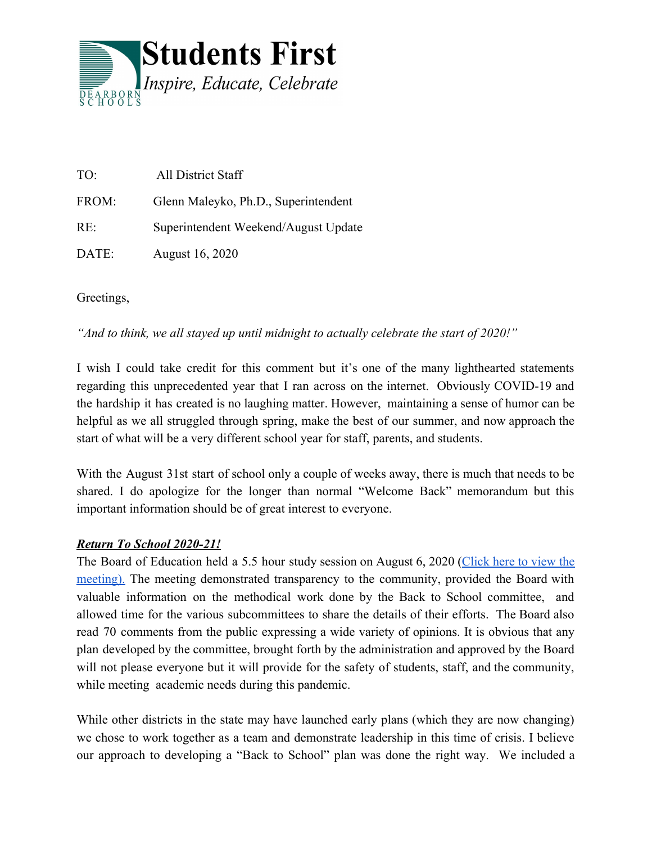

| TO:   | All District Staff                   |
|-------|--------------------------------------|
| FROM: | Glenn Maleyko, Ph.D., Superintendent |
| RE:   | Superintendent Weekend/August Update |
| DATE: | August 16, 2020                      |

Greetings,

*"And to think, we all stayed up until midnight to actually celebrate the start of 2020!"*

I wish I could take credit for this comment but it's one of the many lighthearted statements regarding this unprecedented year that I ran across on the internet. Obviously COVID-19 and the hardship it has created is no laughing matter. However, maintaining a sense of humor can be helpful as we all struggled through spring, make the best of our summer, and now approach the start of what will be a very different school year for staff, parents, and students.

With the August 31st start of school only a couple of weeks away, there is much that needs to be shared. I do apologize for the longer than normal "Welcome Back" memorandum but this important information should be of great interest to everyone.

# *Return To School 2020-21!*

The Board of Education held a 5.5 hour study session on August 6, 2020 ([Click](https://www.youtube.com/watch?v=w3BKlcXUM1E) here to view the [meeting\).](https://www.youtube.com/watch?v=w3BKlcXUM1E) The meeting demonstrated transparency to the community, provided the Board with valuable information on the methodical work done by the Back to School committee, and allowed time for the various subcommittees to share the details of their efforts. The Board also read 70 comments from the public expressing a wide variety of opinions. It is obvious that any plan developed by the committee, brought forth by the administration and approved by the Board will not please everyone but it will provide for the safety of students, staff, and the community, while meeting academic needs during this pandemic.

While other districts in the state may have launched early plans (which they are now changing) we chose to work together as a team and demonstrate leadership in this time of crisis. I believe our approach to developing a "Back to School" plan was done the right way. We included a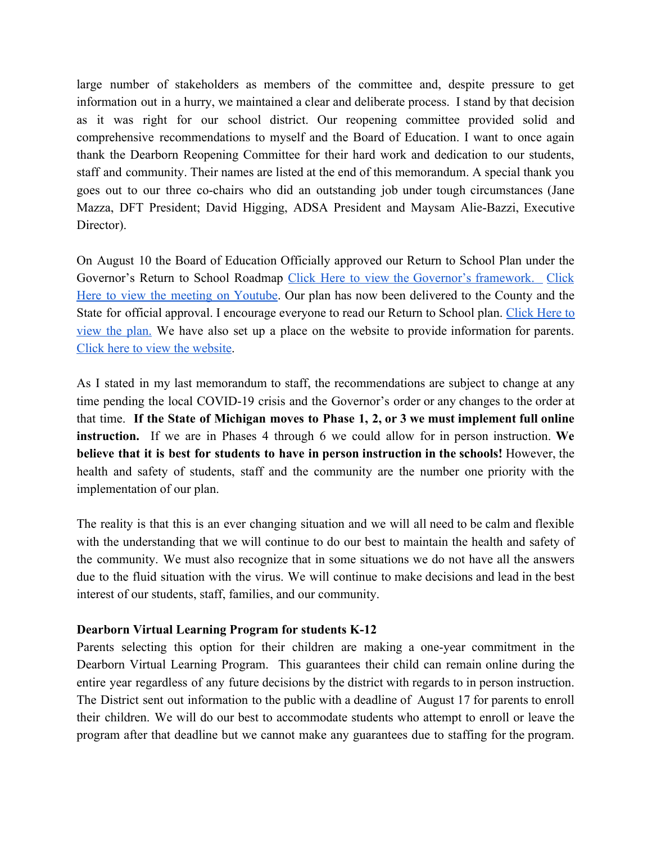large number of stakeholders as members of the committee and, despite pressure to get information out in a hurry, we maintained a clear and deliberate process. I stand by that decision as it was right for our school district. Our reopening committee provided solid and comprehensive recommendations to myself and the Board of Education. I want to once again thank the Dearborn Reopening Committee for their hard work and dedication to our students, staff and community. Their names are listed at the end of this memorandum. A special thank you goes out to our three co-chairs who did an outstanding job under tough circumstances (Jane Mazza, DFT President; David Higging, ADSA President and Maysam Alie-Bazzi, Executive Director).

On August 10 the Board of Education Officially approved our Return to School Plan under the Governor's Return to School Roadmap Click Here to view the Governor's [framework.](https://www.michigan.gov/documents/whitmer/MI_Safe_Schools_Roadmap_FINAL_695392_7.pdf) [Click](https://www.youtube.com/watch?v=ymQAqD0_ABo) Here to view the meeting on [Youtube.](https://www.youtube.com/watch?v=ymQAqD0_ABo) Our plan has now been delivered to the County and the State for official approval. I encourage everyone to read our Return to School plan. [Click](https://docs.google.com/document/d/1Ofe-PUgCwHhjGQgyqB3XwaCU3zUNZhAdHUwUIfJRETE/edit) Here to [view](https://docs.google.com/document/d/1Ofe-PUgCwHhjGQgyqB3XwaCU3zUNZhAdHUwUIfJRETE/edit) the plan. We have also set up a place on the website to provide information for parents. [Click here to view the website.](https://dearbornschools.org/backtoschool/)

As I stated in my last memorandum to staff, the recommendations are subject to change at any time pending the local COVID-19 crisis and the Governor's order or any changes to the order at that time. **If the State of Michigan moves to Phase 1, 2, or 3 we must implement full online instruction.** If we are in Phases 4 through 6 we could allow for in person instruction. **We believe that it is best for students to have in person instruction in the schools!** However, the health and safety of students, staff and the community are the number one priority with the implementation of our plan.

The reality is that this is an ever changing situation and we will all need to be calm and flexible with the understanding that we will continue to do our best to maintain the health and safety of the community. We must also recognize that in some situations we do not have all the answers due to the fluid situation with the virus. We will continue to make decisions and lead in the best interest of our students, staff, families, and our community.

# **Dearborn Virtual Learning Program for students K-12**

Parents selecting this option for their children are making a one-year commitment in the Dearborn Virtual Learning Program. This guarantees their child can remain online during the entire year regardless of any future decisions by the district with regards to in person instruction. The District sent out information to the public with a deadline of August 17 for parents to enroll their children. We will do our best to accommodate students who attempt to enroll or leave the program after that deadline but we cannot make any guarantees due to staffing for the program.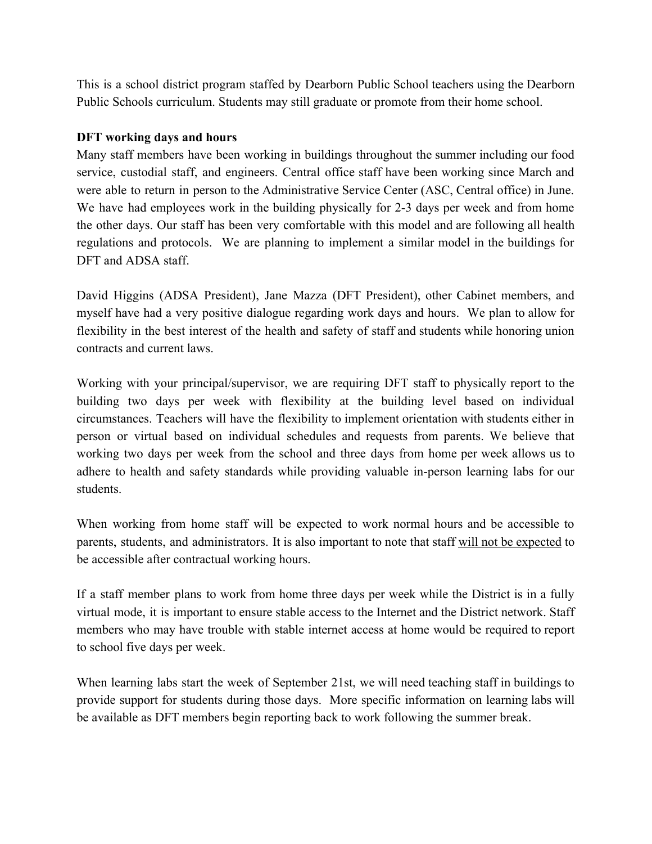This is a school district program staffed by Dearborn Public School teachers using the Dearborn Public Schools curriculum. Students may still graduate or promote from their home school.

# **DFT working days and hours**

Many staff members have been working in buildings throughout the summer including our food service, custodial staff, and engineers. Central office staff have been working since March and were able to return in person to the Administrative Service Center (ASC, Central office) in June. We have had employees work in the building physically for 2-3 days per week and from home the other days. Our staff has been very comfortable with this model and are following all health regulations and protocols. We are planning to implement a similar model in the buildings for DFT and ADSA staff.

David Higgins (ADSA President), Jane Mazza (DFT President), other Cabinet members, and myself have had a very positive dialogue regarding work days and hours. We plan to allow for flexibility in the best interest of the health and safety of staff and students while honoring union contracts and current laws.

Working with your principal/supervisor, we are requiring DFT staff to physically report to the building two days per week with flexibility at the building level based on individual circumstances. Teachers will have the flexibility to implement orientation with students either in person or virtual based on individual schedules and requests from parents. We believe that working two days per week from the school and three days from home per week allows us to adhere to health and safety standards while providing valuable in-person learning labs for our students.

When working from home staff will be expected to work normal hours and be accessible to parents, students, and administrators. It is also important to note that staff will not be expected to be accessible after contractual working hours.

If a staff member plans to work from home three days per week while the District is in a fully virtual mode, it is important to ensure stable access to the Internet and the District network. Staff members who may have trouble with stable internet access at home would be required to report to school five days per week.

When learning labs start the week of September 21st, we will need teaching staff in buildings to provide support for students during those days. More specific information on learning labs will be available as DFT members begin reporting back to work following the summer break.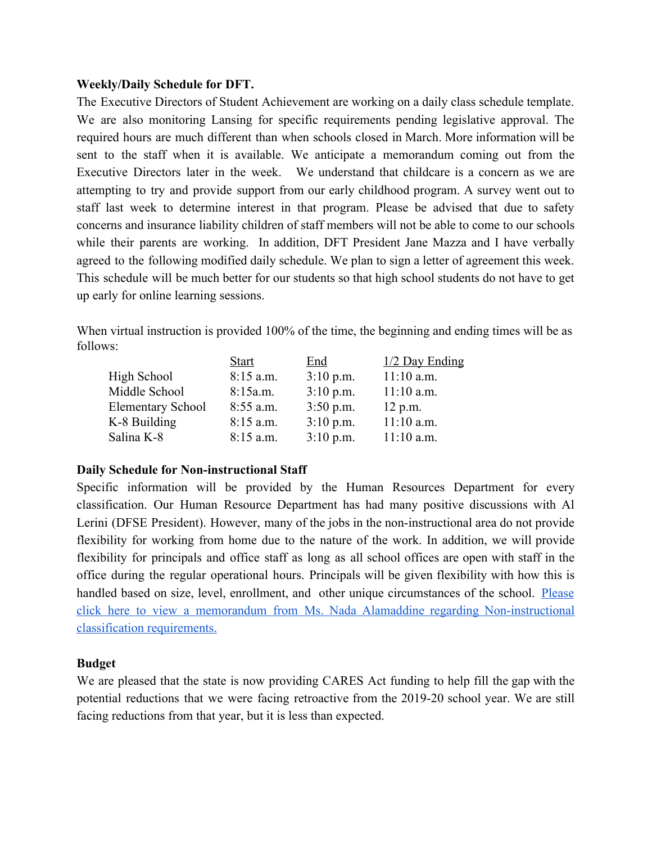# **Weekly/Daily Schedule for DFT.**

The Executive Directors of Student Achievement are working on a daily class schedule template. We are also monitoring Lansing for specific requirements pending legislative approval. The required hours are much different than when schools closed in March. More information will be sent to the staff when it is available. We anticipate a memorandum coming out from the Executive Directors later in the week. We understand that childcare is a concern as we are attempting to try and provide support from our early childhood program. A survey went out to staff last week to determine interest in that program. Please be advised that due to safety concerns and insurance liability children of staff members will not be able to come to our schools while their parents are working. In addition, DFT President Jane Mazza and I have verbally agreed to the following modified daily schedule. We plan to sign a letter of agreement this week. This schedule will be much better for our students so that high school students do not have to get up early for online learning sessions.

When virtual instruction is provided 100% of the time, the beginning and ending times will be as follows:

|                          | <b>Start</b> | End         | $1/2$ Day Ending |
|--------------------------|--------------|-------------|------------------|
| High School              | $8:15$ a.m.  | $3:10$ p.m. | $11:10$ a.m.     |
| Middle School            | 8:15a.m.     | $3:10$ p.m. | $11:10$ a.m.     |
| <b>Elementary School</b> | 8:55 a.m.    | $3:50$ p.m. | $12$ p.m.        |
| K-8 Building             | $8:15$ a.m.  | $3:10$ p.m. | $11:10$ a.m.     |
| Salina K-8               | $8:15$ a.m.  | $3:10$ p.m. | $11:10$ a.m.     |

# **Daily Schedule for Non-instructional Staff**

Specific information will be provided by the Human Resources Department for every classification. Our Human Resource Department has had many positive discussions with Al Lerini (DFSE President). However, many of the jobs in the non-instructional area do not provide flexibility for working from home due to the nature of the work. In addition, we will provide flexibility for principals and office staff as long as all school offices are open with staff in the office during the regular operational hours. Principals will be given flexibility with how this is handled based on size, level, enrollment, and other unique circumstances of the school. [Please](https://docs.google.com/document/d/1SFfQkmwGlKpAiNEmmemSJUbCsuOr6iuPA27soZ1K4Yg/edit?usp=sharing) click here to view a memorandum from Ms. Nada Alamaddine regarding [Non-instructional](https://docs.google.com/document/d/1SFfQkmwGlKpAiNEmmemSJUbCsuOr6iuPA27soZ1K4Yg/edit?usp=sharing) [classification requirements.](https://docs.google.com/document/d/1SFfQkmwGlKpAiNEmmemSJUbCsuOr6iuPA27soZ1K4Yg/edit?usp=sharing)

# **Budget**

We are pleased that the state is now providing CARES Act funding to help fill the gap with the potential reductions that we were facing retroactive from the 2019-20 school year. We are still facing reductions from that year, but it is less than expected.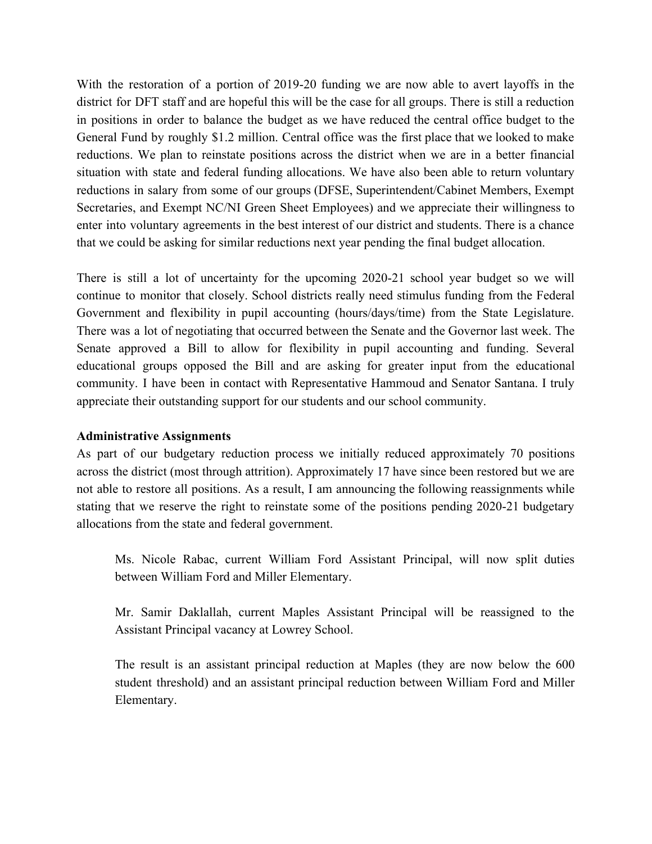With the restoration of a portion of 2019-20 funding we are now able to avert layoffs in the district for DFT staff and are hopeful this will be the case for all groups. There is still a reduction in positions in order to balance the budget as we have reduced the central office budget to the General Fund by roughly \$1.2 million. Central office was the first place that we looked to make reductions. We plan to reinstate positions across the district when we are in a better financial situation with state and federal funding allocations. We have also been able to return voluntary reductions in salary from some of our groups (DFSE, Superintendent/Cabinet Members, Exempt Secretaries, and Exempt NC/NI Green Sheet Employees) and we appreciate their willingness to enter into voluntary agreements in the best interest of our district and students. There is a chance that we could be asking for similar reductions next year pending the final budget allocation.

There is still a lot of uncertainty for the upcoming 2020-21 school year budget so we will continue to monitor that closely. School districts really need stimulus funding from the Federal Government and flexibility in pupil accounting (hours/days/time) from the State Legislature. There was a lot of negotiating that occurred between the Senate and the Governor last week. The Senate approved a Bill to allow for flexibility in pupil accounting and funding. Several educational groups opposed the Bill and are asking for greater input from the educational community. I have been in contact with Representative Hammoud and Senator Santana. I truly appreciate their outstanding support for our students and our school community.

# **Administrative Assignments**

As part of our budgetary reduction process we initially reduced approximately 70 positions across the district (most through attrition). Approximately 17 have since been restored but we are not able to restore all positions. As a result, I am announcing the following reassignments while stating that we reserve the right to reinstate some of the positions pending 2020-21 budgetary allocations from the state and federal government.

Ms. Nicole Rabac, current William Ford Assistant Principal, will now split duties between William Ford and Miller Elementary.

Mr. Samir Daklallah, current Maples Assistant Principal will be reassigned to the Assistant Principal vacancy at Lowrey School.

The result is an assistant principal reduction at Maples (they are now below the 600 student threshold) and an assistant principal reduction between William Ford and Miller Elementary.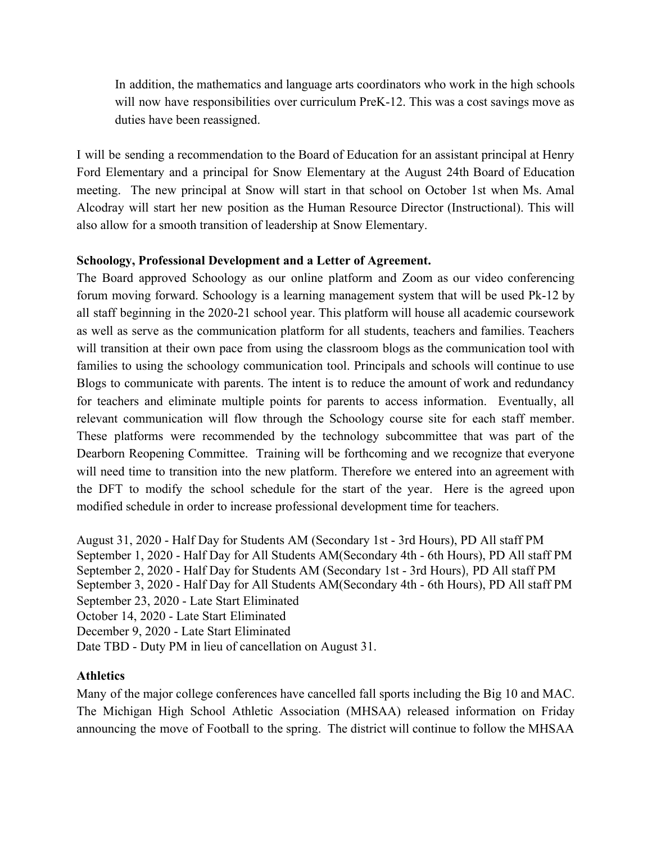In addition, the mathematics and language arts coordinators who work in the high schools will now have responsibilities over curriculum PreK-12. This was a cost savings move as duties have been reassigned.

I will be sending a recommendation to the Board of Education for an assistant principal at Henry Ford Elementary and a principal for Snow Elementary at the August 24th Board of Education meeting. The new principal at Snow will start in that school on October 1st when Ms. Amal Alcodray will start her new position as the Human Resource Director (Instructional). This will also allow for a smooth transition of leadership at Snow Elementary.

# **Schoology, Professional Development and a Letter of Agreement.**

The Board approved Schoology as our online platform and Zoom as our video conferencing forum moving forward. Schoology is a learning management system that will be used Pk-12 by all staff beginning in the 2020-21 school year. This platform will house all academic coursework as well as serve as the communication platform for all students, teachers and families. Teachers will transition at their own pace from using the classroom blogs as the communication tool with families to using the schoology communication tool. Principals and schools will continue to use Blogs to communicate with parents. The intent is to reduce the amount of work and redundancy for teachers and eliminate multiple points for parents to access information. Eventually, all relevant communication will flow through the Schoology course site for each staff member. These platforms were recommended by the technology subcommittee that was part of the Dearborn Reopening Committee. Training will be forthcoming and we recognize that everyone will need time to transition into the new platform. Therefore we entered into an agreement with the DFT to modify the school schedule for the start of the year. Here is the agreed upon modified schedule in order to increase professional development time for teachers.

August 31, 2020 - Half Day for Students AM (Secondary 1st - 3rd Hours), PD All staff PM September 1, 2020 - Half Day for All Students AM(Secondary 4th - 6th Hours), PD All staff PM September 2, 2020 - Half Day for Students AM (Secondary 1st - 3rd Hours), PD All staff PM September 3, 2020 - Half Day for All Students AM(Secondary 4th - 6th Hours), PD All staff PM September 23, 2020 - Late Start Eliminated October 14, 2020 - Late Start Eliminated December 9, 2020 - Late Start Eliminated Date TBD - Duty PM in lieu of cancellation on August 31.

# **Athletics**

Many of the major college conferences have cancelled fall sports including the Big 10 and MAC. The Michigan High School Athletic Association (MHSAA) released information on Friday announcing the move of Football to the spring. The district will continue to follow the MHSAA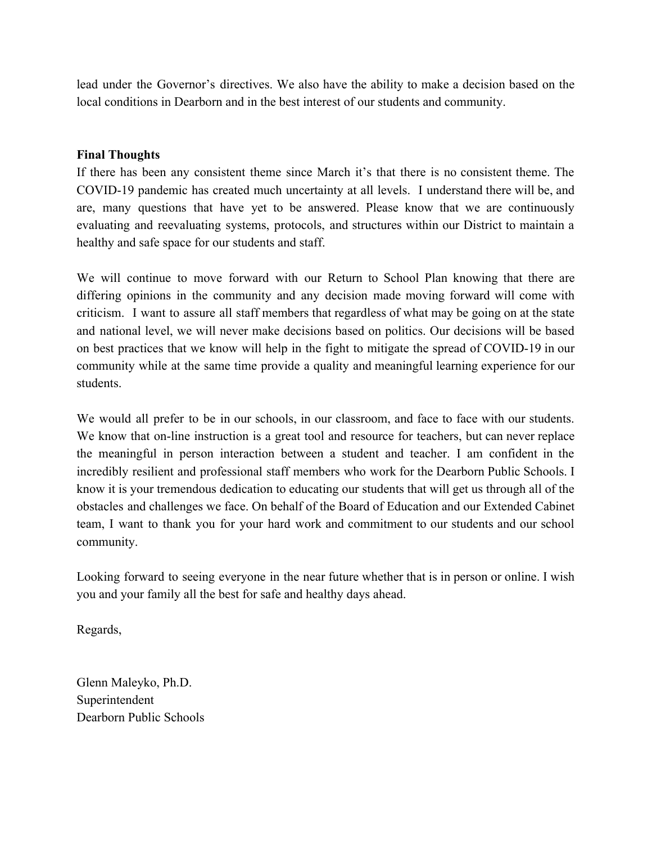lead under the Governor's directives. We also have the ability to make a decision based on the local conditions in Dearborn and in the best interest of our students and community.

# **Final Thoughts**

If there has been any consistent theme since March it's that there is no consistent theme. The COVID-19 pandemic has created much uncertainty at all levels. I understand there will be, and are, many questions that have yet to be answered. Please know that we are continuously evaluating and reevaluating systems, protocols, and structures within our District to maintain a healthy and safe space for our students and staff.

We will continue to move forward with our Return to School Plan knowing that there are differing opinions in the community and any decision made moving forward will come with criticism. I want to assure all staff members that regardless of what may be going on at the state and national level, we will never make decisions based on politics. Our decisions will be based on best practices that we know will help in the fight to mitigate the spread of COVID-19 in our community while at the same time provide a quality and meaningful learning experience for our students.

We would all prefer to be in our schools, in our classroom, and face to face with our students. We know that on-line instruction is a great tool and resource for teachers, but can never replace the meaningful in person interaction between a student and teacher. I am confident in the incredibly resilient and professional staff members who work for the Dearborn Public Schools. I know it is your tremendous dedication to educating our students that will get us through all of the obstacles and challenges we face. On behalf of the Board of Education and our Extended Cabinet team, I want to thank you for your hard work and commitment to our students and our school community.

Looking forward to seeing everyone in the near future whether that is in person or online. I wish you and your family all the best for safe and healthy days ahead.

Regards,

Glenn Maleyko, Ph.D. Superintendent Dearborn Public Schools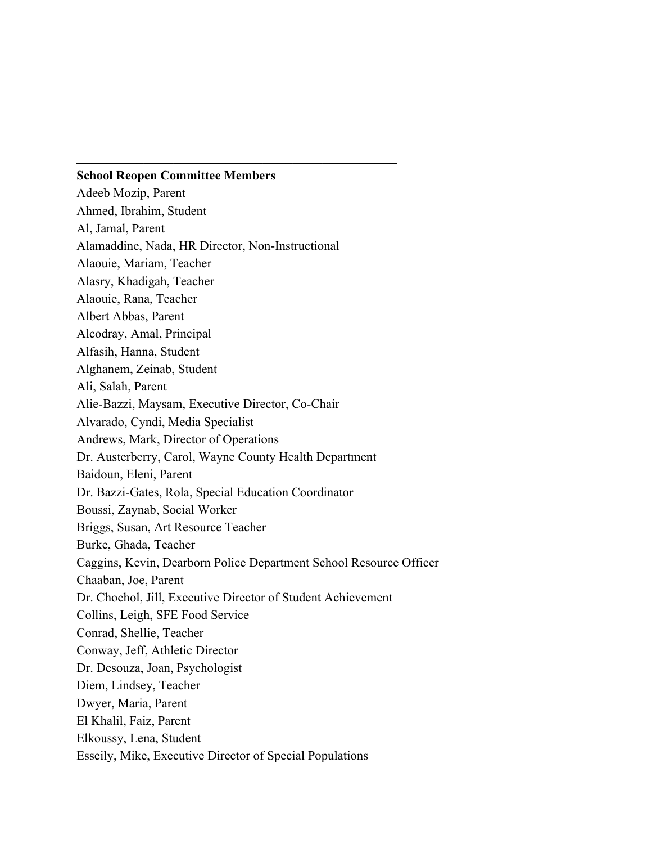# **School Reopen Committee Members**

**\_\_\_\_\_\_\_\_\_\_\_\_\_\_\_\_\_\_\_\_\_\_\_\_\_\_\_\_\_\_\_\_\_\_\_\_\_\_\_\_\_\_\_**

Adeeb Mozip, Parent Ahmed, Ibrahim, Student Al, Jamal, Parent Alamaddine, Nada, HR Director, Non-Instructional Alaouie, Mariam, Teacher Alasry, Khadigah, Teacher Alaouie, Rana, Teacher Albert Abbas, Parent Alcodray, Amal, Principal Alfasih, Hanna, Student Alghanem, Zeinab, Student Ali, Salah, Parent Alie-Bazzi, Maysam, Executive Director, Co-Chair Alvarado, Cyndi, Media Specialist Andrews, Mark, Director of Operations Dr. Austerberry, Carol, Wayne County Health Department Baidoun, Eleni, Parent Dr. Bazzi-Gates, Rola, Special Education Coordinator Boussi, Zaynab, Social Worker Briggs, Susan, Art Resource Teacher Burke, Ghada, Teacher Caggins, Kevin, Dearborn Police Department School Resource Officer Chaaban, Joe, Parent Dr. Chochol, Jill, Executive Director of Student Achievement Collins, Leigh, SFE Food Service Conrad, Shellie, Teacher Conway, Jeff, Athletic Director Dr. Desouza, Joan, Psychologist Diem, Lindsey, Teacher Dwyer, Maria, Parent El Khalil, Faiz, Parent Elkoussy, Lena, Student Esseily, Mike, Executive Director of Special Populations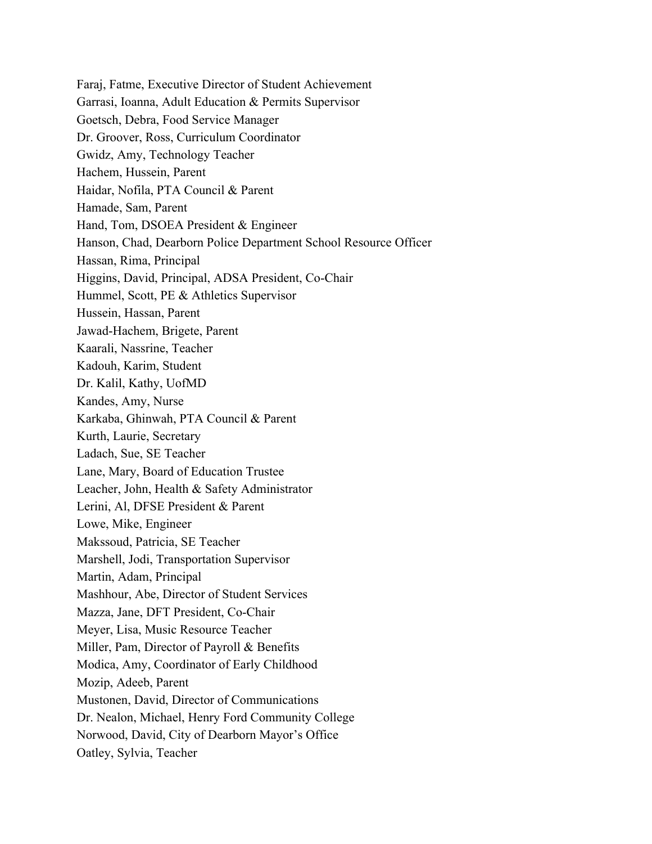Faraj, Fatme, Executive Director of Student Achievement Garrasi, Ioanna, Adult Education & Permits Supervisor Goetsch, Debra, Food Service Manager Dr. Groover, Ross, Curriculum Coordinator Gwidz, Amy, Technology Teacher Hachem, Hussein, Parent Haidar, Nofila, PTA Council & Parent Hamade, Sam, Parent Hand, Tom, DSOEA President & Engineer Hanson, Chad, Dearborn Police Department School Resource Officer Hassan, Rima, Principal Higgins, David, Principal, ADSA President, Co-Chair Hummel, Scott, PE & Athletics Supervisor Hussein, Hassan, Parent Jawad-Hachem, Brigete, Parent Kaarali, Nassrine, Teacher Kadouh, Karim, Student Dr. Kalil, Kathy, UofMD Kandes, Amy, Nurse Karkaba, Ghinwah, PTA Council & Parent Kurth, Laurie, Secretary Ladach, Sue, SE Teacher Lane, Mary, Board of Education Trustee Leacher, John, Health & Safety Administrator Lerini, Al, DFSE President & Parent Lowe, Mike, Engineer Makssoud, Patricia, SE Teacher Marshell, Jodi, Transportation Supervisor Martin, Adam, Principal Mashhour, Abe, Director of Student Services Mazza, Jane, DFT President, Co-Chair Meyer, Lisa, Music Resource Teacher Miller, Pam, Director of Payroll & Benefits Modica, Amy, Coordinator of Early Childhood Mozip, Adeeb, Parent Mustonen, David, Director of Communications Dr. Nealon, Michael, Henry Ford Community College Norwood, David, City of Dearborn Mayor's Office Oatley, Sylvia, Teacher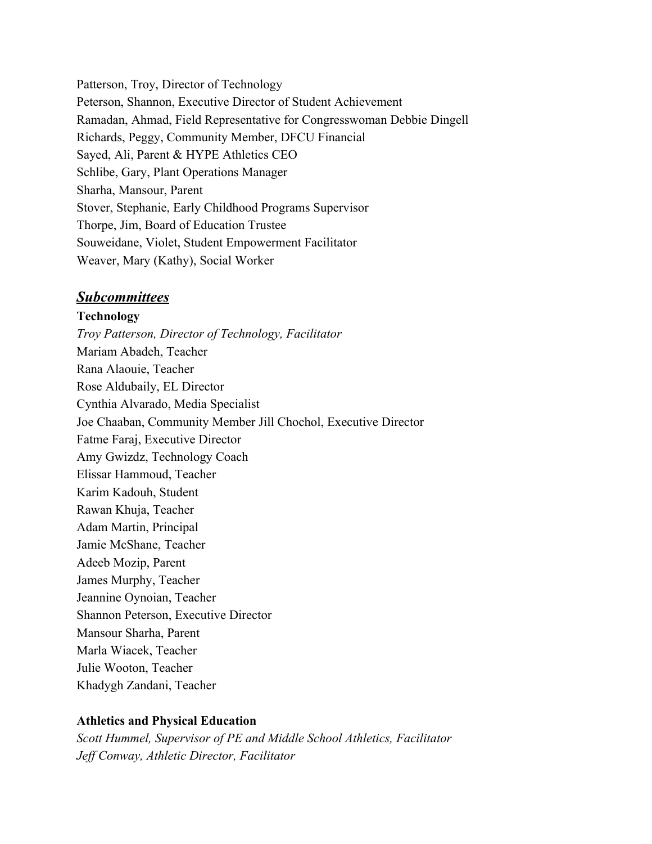Patterson, Troy, Director of Technology Peterson, Shannon, Executive Director of Student Achievement Ramadan, Ahmad, Field Representative for Congresswoman Debbie Dingell Richards, Peggy, Community Member, DFCU Financial Sayed, Ali, Parent & HYPE Athletics CEO Schlibe, Gary, Plant Operations Manager Sharha, Mansour, Parent Stover, Stephanie, Early Childhood Programs Supervisor Thorpe, Jim, Board of Education Trustee Souweidane, Violet, Student Empowerment Facilitator Weaver, Mary (Kathy), Social Worker

# *Subcommittees*

# **Technology**

*Troy Patterson, Director of Technology, Facilitator* Mariam Abadeh, Teacher Rana Alaouie, Teacher Rose Aldubaily, EL Director Cynthia Alvarado, Media Specialist Joe Chaaban, Community Member Jill Chochol, Executive Director Fatme Faraj, Executive Director Amy Gwizdz, Technology Coach Elissar Hammoud, Teacher Karim Kadouh, Student Rawan Khuja, Teacher Adam Martin, Principal Jamie McShane, Teacher Adeeb Mozip, Parent James Murphy, Teacher Jeannine Oynoian, Teacher Shannon Peterson, Executive Director Mansour Sharha, Parent Marla Wiacek, Teacher Julie Wooton, Teacher Khadygh Zandani, Teacher

# **Athletics and Physical Education**

*Scott Hummel, Supervisor of PE and Middle School Athletics, Facilitator Jeff Conway, Athletic Director, Facilitator*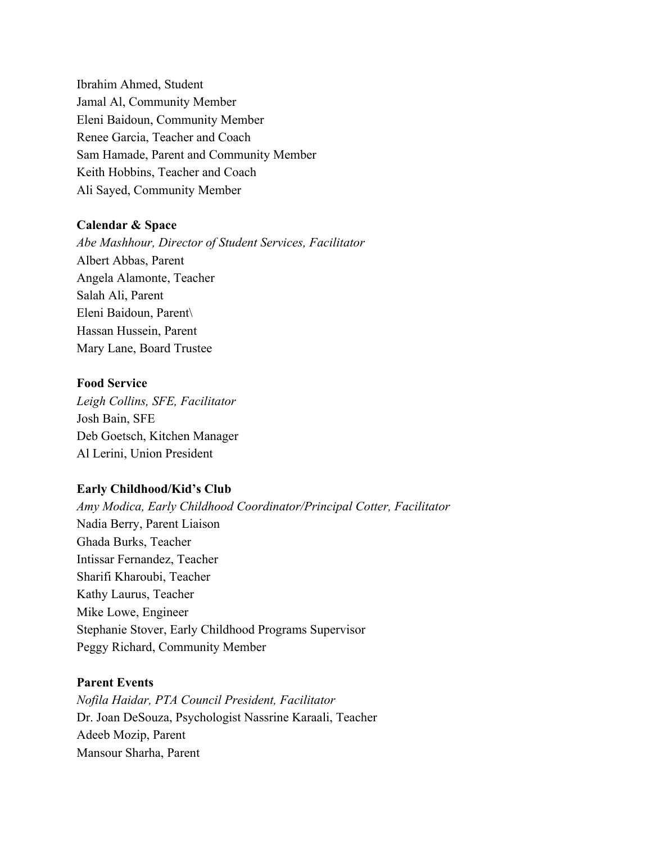Ibrahim Ahmed, Student Jamal Al, Community Member Eleni Baidoun, Community Member Renee Garcia, Teacher and Coach Sam Hamade, Parent and Community Member Keith Hobbins, Teacher and Coach Ali Sayed, Community Member

## **Calendar & Space**

*Abe Mashhour, Director of Student Services, Facilitator* Albert Abbas, Parent Angela Alamonte, Teacher Salah Ali, Parent Eleni Baidoun, Parent\ Hassan Hussein, Parent Mary Lane, Board Trustee

# **Food Service**

*Leigh Collins, SFE, Facilitator* Josh Bain, SFE Deb Goetsch, Kitchen Manager Al Lerini, Union President

## **Early Childhood/Kid's Club**

*Amy Modica, Early Childhood Coordinator/Principal Cotter, Facilitator* Nadia Berry, Parent Liaison Ghada Burks, Teacher Intissar Fernandez, Teacher Sharifi Kharoubi, Teacher Kathy Laurus, Teacher Mike Lowe, Engineer Stephanie Stover, Early Childhood Programs Supervisor Peggy Richard, Community Member

# **Parent Events**

*Nofila Haidar, PTA Council President, Facilitator* Dr. Joan DeSouza, Psychologist Nassrine Karaali, Teacher Adeeb Mozip, Parent Mansour Sharha, Parent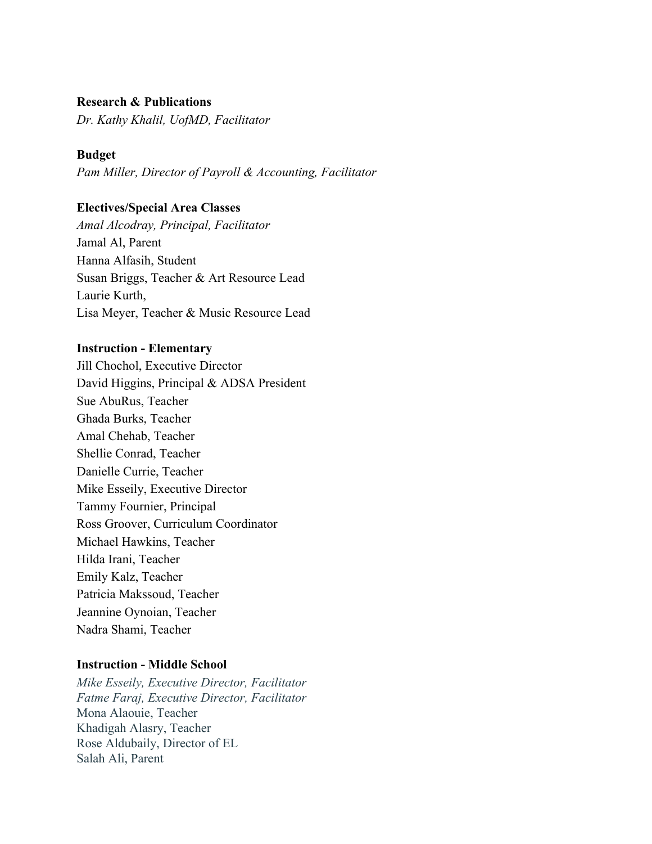### **Research & Publications**

*Dr. Kathy Khalil, UofMD, Facilitator*

#### **Budget**

*Pam Miller, Director of Payroll & Accounting, Facilitator*

### **Electives/Special Area Classes**

*Amal Alcodray, Principal, Facilitator* Jamal Al, Parent Hanna Alfasih, Student Susan Briggs, Teacher & Art Resource Lead Laurie Kurth, Lisa Meyer, Teacher & Music Resource Lead

### **Instruction - Elementary**

Jill Chochol, Executive Director David Higgins, Principal & ADSA President Sue AbuRus, Teacher Ghada Burks, Teacher Amal Chehab, Teacher Shellie Conrad, Teacher Danielle Currie, Teacher Mike Esseily, Executive Director Tammy Fournier, Principal Ross Groover, Curriculum Coordinator Michael Hawkins, Teacher Hilda Irani, Teacher Emily Kalz, Teacher Patricia Makssoud, Teacher Jeannine Oynoian, Teacher Nadra Shami, Teacher

### **Instruction - Middle School**

*Mike Esseily, Executive Director, Facilitator Fatme Faraj, Executive Director, Facilitator* Mona Alaouie, Teacher Khadigah Alasry, Teacher Rose Aldubaily, Director of EL Salah Ali, Parent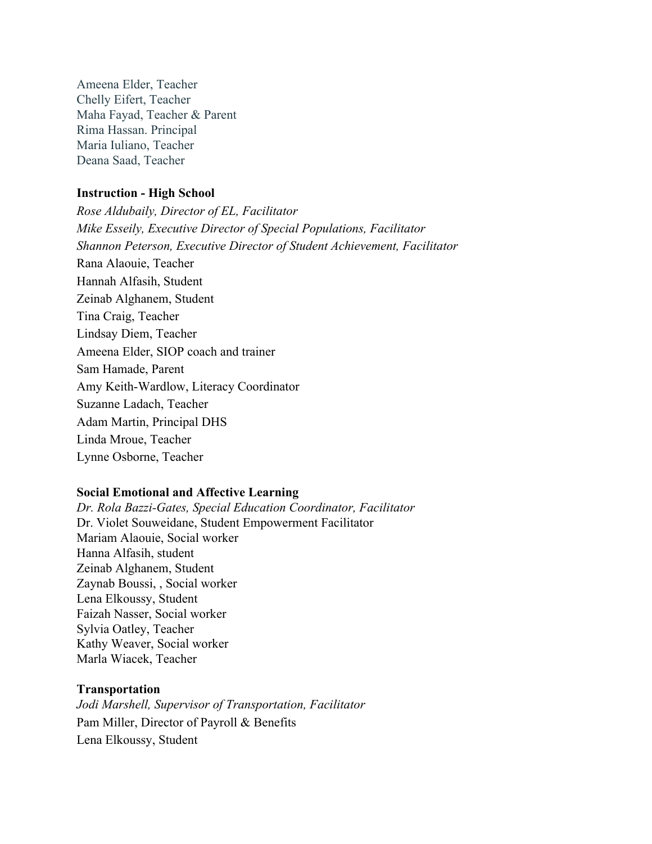Ameena Elder, Teacher Chelly Eifert, Teacher Maha Fayad, Teacher & Parent Rima Hassan. Principal Maria Iuliano, Teacher Deana Saad, Teacher

### **Instruction - High School**

*Rose Aldubaily, Director of EL, Facilitator Mike Esseily, Executive Director of Special Populations, Facilitator Shannon Peterson, Executive Director of Student Achievement, Facilitator* Rana Alaouie, Teacher Hannah Alfasih, Student Zeinab Alghanem, Student Tina Craig, Teacher Lindsay Diem, Teacher Ameena Elder, SIOP coach and trainer Sam Hamade, Parent Amy Keith-Wardlow, Literacy Coordinator Suzanne Ladach, Teacher Adam Martin, Principal DHS Linda Mroue, Teacher Lynne Osborne, Teacher

# **Social Emotional and Affective Learning**

*Dr. Rola Bazzi-Gates, Special Education Coordinator, Facilitator* Dr. Violet Souweidane, Student Empowerment Facilitator Mariam Alaouie, Social worker Hanna Alfasih, student Zeinab Alghanem, Student Zaynab Boussi, , Social worker Lena Elkoussy, Student Faizah Nasser, Social worker Sylvia Oatley, Teacher Kathy Weaver, Social worker Marla Wiacek, Teacher

#### **Transportation**

*Jodi Marshell, Supervisor of Transportation, Facilitator* Pam Miller, Director of Payroll & Benefits Lena Elkoussy, Student